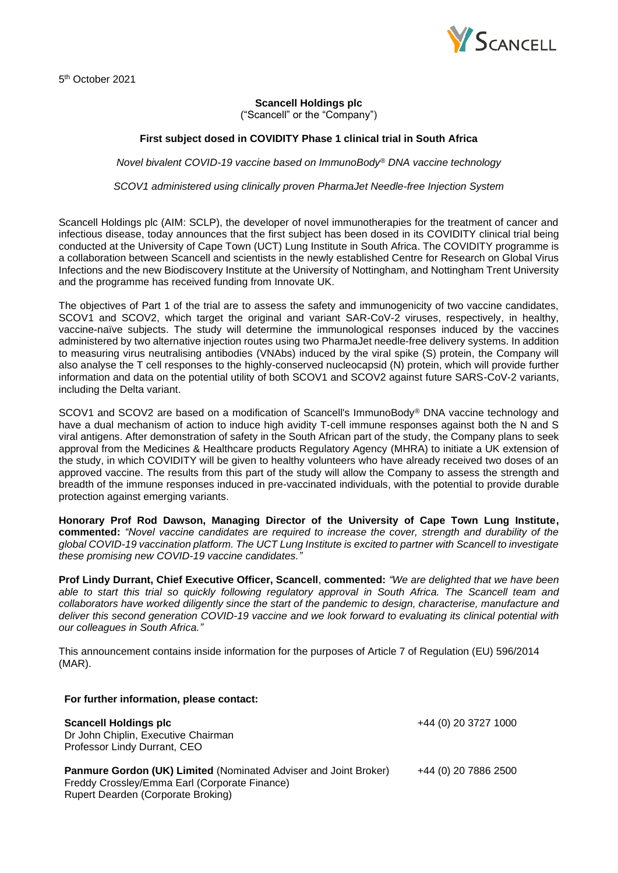

5 th October 2021

## **Scancell Holdings plc**

("Scancell" or the "Company")

## **First subject dosed in COVIDITY Phase 1 clinical trial in South Africa**

*Novel bivalent COVID-19 vaccine based on ImmunoBody® DNA vaccine technology*

*SCOV1 administered using clinically proven PharmaJet Needle-free Injection System*

Scancell Holdings plc (AIM: SCLP), the developer of novel immunotherapies for the treatment of cancer and infectious disease, today announces that the first subject has been dosed in its COVIDITY clinical trial being conducted at the University of Cape Town (UCT) Lung Institute in South Africa. The COVIDITY programme is a collaboration between Scancell and scientists in the newly established Centre for Research on Global Virus Infections and the new Biodiscovery Institute at the University of Nottingham, and Nottingham Trent University and the programme has received funding from Innovate UK.

The objectives of Part 1 of the trial are to assess the safety and immunogenicity of two vaccine candidates, SCOV1 and SCOV2, which target the original and variant SAR-CoV-2 viruses, respectively, in healthy, vaccine-naïve subjects. The study will determine the immunological responses induced by the vaccines administered by two alternative injection routes using two PharmaJet needle-free delivery systems. In addition to measuring virus neutralising antibodies (VNAbs) induced by the viral spike (S) protein, the Company will also analyse the T cell responses to the highly-conserved nucleocapsid (N) protein, which will provide further information and data on the potential utility of both SCOV1 and SCOV2 against future SARS-CoV-2 variants, including the Delta variant.

SCOV1 and SCOV2 are based on a modification of Scancell's ImmunoBody® DNA vaccine technology and have a dual mechanism of action to induce high avidity T-cell immune responses against both the N and S viral antigens. After demonstration of safety in the South African part of the study, the Company plans to seek approval from the Medicines & Healthcare products Regulatory Agency (MHRA) to initiate a UK extension of the study, in which COVIDITY will be given to healthy volunteers who have already received two doses of an approved vaccine. The results from this part of the study will allow the Company to assess the strength and breadth of the immune responses induced in pre-vaccinated individuals, with the potential to provide durable protection against emerging variants.

**Honorary Prof Rod Dawson, Managing Director of the University of Cape Town Lung Institute, commented:** *"Novel vaccine candidates are required to increase the cover, strength and durability of the global COVID-19 vaccination platform. The UCT Lung Institute is excited to partner with Scancell to investigate these promising new COVID-19 vaccine candidates."*

**Prof Lindy Durrant, Chief Executive Officer, Scancell**, **commented:** *"We are delighted that we have been able to start this trial so quickly following regulatory approval in South Africa. The Scancell team and collaborators have worked diligently since the start of the pandemic to design, characterise, manufacture and deliver this second generation COVID-19 vaccine and we look forward to evaluating its clinical potential with our colleagues in South Africa."*

This announcement contains inside information for the purposes of Article 7 of Regulation (EU) 596/2014 (MAR).

| For further information, please contact:                                                                                                                       |                      |
|----------------------------------------------------------------------------------------------------------------------------------------------------------------|----------------------|
| <b>Scancell Holdings plc</b><br>Dr John Chiplin, Executive Chairman<br>Professor Lindy Durrant, CEO                                                            | +44 (0) 20 3727 1000 |
| <b>Panmure Gordon (UK) Limited (Nominated Adviser and Joint Broker)</b><br>Freddy Crossley/Emma Earl (Corporate Finance)<br>Rupert Dearden (Corporate Broking) | +44 (0) 20 7886 2500 |